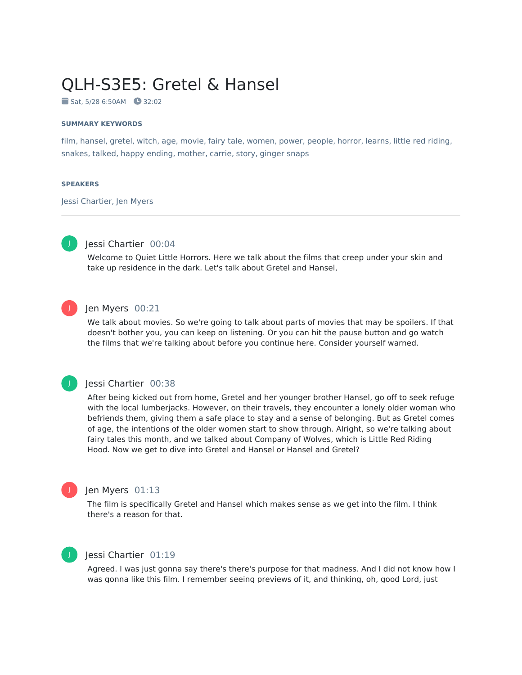# QLH-S3E5: Gretel & Hansel

Sat, 5/28 6:50AM 32:02

#### **SUMMARY KEYWORDS**

film, hansel, gretel, witch, age, movie, fairy tale, women, power, people, horror, learns, little red riding, snakes, talked, happy ending, mother, carrie, story, ginger snaps

#### **SPEAKERS**

Jessi Chartier, Jen Myers



### Jessi Chartier 00:04

Welcome to Quiet Little Horrors. Here we talk about the films that creep under your skin and take up residence in the dark. Let's talk about Gretel and Hansel,



#### Jen Myers 00:21

We talk about movies. So we're going to talk about parts of movies that may be spoilers. If that doesn't bother you, you can keep on listening. Or you can hit the pause button and go watch the films that we're talking about before you continue here. Consider yourself warned.



#### Jessi Chartier 00:38

After being kicked out from home, Gretel and her younger brother Hansel, go off to seek refuge with the local lumberjacks. However, on their travels, they encounter a lonely older woman who befriends them, giving them a safe place to stay and a sense of belonging. But as Gretel comes of age, the intentions of the older women start to show through. Alright, so we're talking about fairy tales this month, and we talked about Company of Wolves, which is Little Red Riding Hood. Now we get to dive into Gretel and Hansel or Hansel and Gretel?



#### Jen Myers 01:13

The film is specifically Gretel and Hansel which makes sense as we get into the film. I think there's a reason for that.



#### Jessi Chartier 01:19

Agreed. I was just gonna say there's there's purpose for that madness. And I did not know how I was gonna like this film. I remember seeing previews of it, and thinking, oh, good Lord, just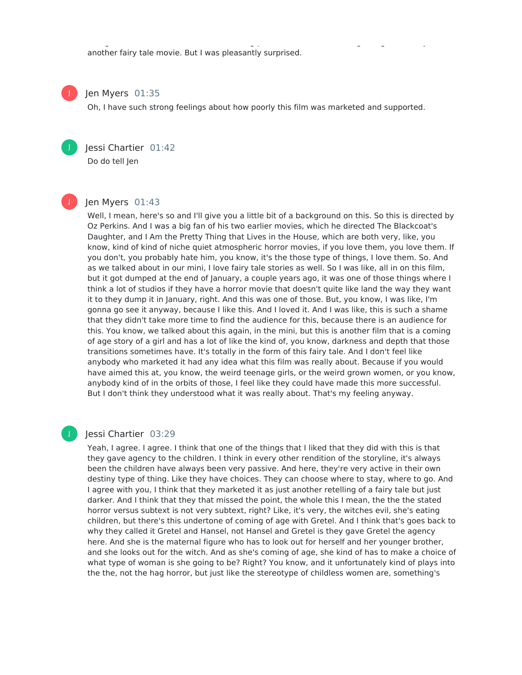another fairy tale movie. But I was pleasantly surprised.

## Jen Myers 01:35

Oh, I have such strong feelings about how poorly this film was marketed and supported.

was gonna like this film. I remember seeing previews of it, and thinking, oh, good Lord, just good Lord, just

Jessi Chartier 01:42 Do do tell Jen

J

J

J

#### Jen Myers 01:43

Well, I mean, here's so and I'll give you a little bit of a background on this. So this is directed by Oz Perkins. And I was a big fan of his two earlier movies, which he directed The Blackcoat's Daughter, and I Am the Pretty Thing that Lives in the House, which are both very, like, you know, kind of kind of niche quiet atmospheric horror movies, if you love them, you love them. If you don't, you probably hate him, you know, it's the those type of things, I love them. So. And as we talked about in our mini, I love fairy tale stories as well. So I was like, all in on this film, but it got dumped at the end of January, a couple years ago, it was one of those things where I think a lot of studios if they have a horror movie that doesn't quite like land the way they want it to they dump it in January, right. And this was one of those. But, you know, I was like, I'm gonna go see it anyway, because I like this. And I loved it. And I was like, this is such a shame that they didn't take more time to find the audience for this, because there is an audience for this. You know, we talked about this again, in the mini, but this is another film that is a coming of age story of a girl and has a lot of like the kind of, you know, darkness and depth that those transitions sometimes have. It's totally in the form of this fairy tale. And I don't feel like anybody who marketed it had any idea what this film was really about. Because if you would have aimed this at, you know, the weird teenage girls, or the weird grown women, or you know, anybody kind of in the orbits of those, I feel like they could have made this more successful. But I don't think they understood what it was really about. That's my feeling anyway.

#### Jessi Chartier 03:29

Yeah, I agree. I agree. I think that one of the things that I liked that they did with this is that they gave agency to the children. I think in every other rendition of the storyline, it's always been the children have always been very passive. And here, they're very active in their own destiny type of thing. Like they have choices. They can choose where to stay, where to go. And I agree with you, I think that they marketed it as just another retelling of a fairy tale but just darker. And I think that they that missed the point, the whole this I mean, the the the stated horror versus subtext is not very subtext, right? Like, it's very, the witches evil, she's eating children, but there's this undertone of coming of age with Gretel. And I think that's goes back to why they called it Gretel and Hansel, not Hansel and Gretel is they gave Gretel the agency here. And she is the maternal figure who has to look out for herself and her younger brother, and she looks out for the witch. And as she's coming of age, she kind of has to make a choice of what type of woman is she going to be? Right? You know, and it unfortunately kind of plays into the the, not the hag horror, but just like the stereotype of childless women are, something's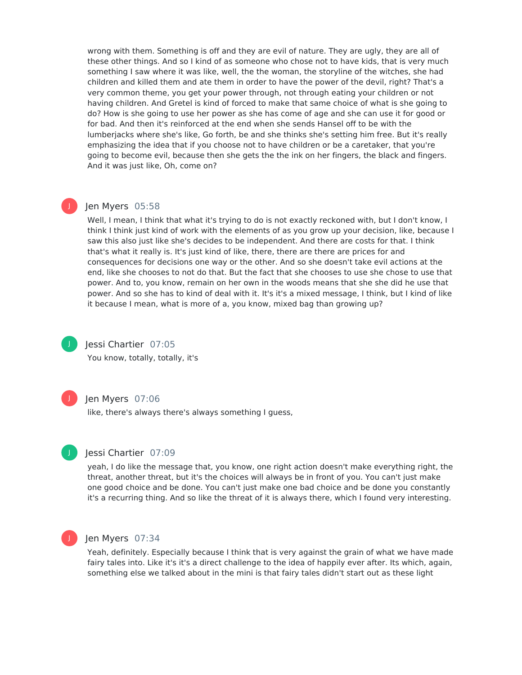wrong with them. Something is off and they are evil of nature. They are ugly, they are all of these other things. And so I kind of as someone who chose not to have kids, that is very much something I saw where it was like, well, the the woman, the storyline of the witches, she had children and killed them and ate them in order to have the power of the devil, right? That's a very common theme, you get your power through, not through eating your children or not having children. And Gretel is kind of forced to make that same choice of what is she going to do? How is she going to use her power as she has come of age and she can use it for good or for bad. And then it's reinforced at the end when she sends Hansel off to be with the lumberjacks where she's like, Go forth, be and she thinks she's setting him free. But it's really emphasizing the idea that if you choose not to have children or be a caretaker, that you're going to become evil, because then she gets the the ink on her fingers, the black and fingers. And it was just like, Oh, come on?

#### Jen Myers 05:58

Well, I mean, I think that what it's trying to do is not exactly reckoned with, but I don't know, I think I think just kind of work with the elements of as you grow up your decision, like, because I saw this also just like she's decides to be independent. And there are costs for that. I think that's what it really is. It's just kind of like, there, there are there are prices for and consequences for decisions one way or the other. And so she doesn't take evil actions at the end, like she chooses to not do that. But the fact that she chooses to use she chose to use that power. And to, you know, remain on her own in the woods means that she she did he use that power. And so she has to kind of deal with it. It's it's a mixed message, I think, but I kind of like it because I mean, what is more of a, you know, mixed bag than growing up?



J

#### Jessi Chartier 07:05

You know, totally, totally, it's



#### Jen Myers 07:06

like, there's always there's always something I guess,



#### Jessi Chartier 07:09

yeah, I do like the message that, you know, one right action doesn't make everything right, the threat, another threat, but it's the choices will always be in front of you. You can't just make one good choice and be done. You can't just make one bad choice and be done you constantly it's a recurring thing. And so like the threat of it is always there, which I found very interesting.



#### Jen Myers 07:34

Yeah, definitely. Especially because I think that is very against the grain of what we have made fairy tales into. Like it's it's a direct challenge to the idea of happily ever after. Its which, again, something else we talked about in the mini is that fairy tales didn't start out as these light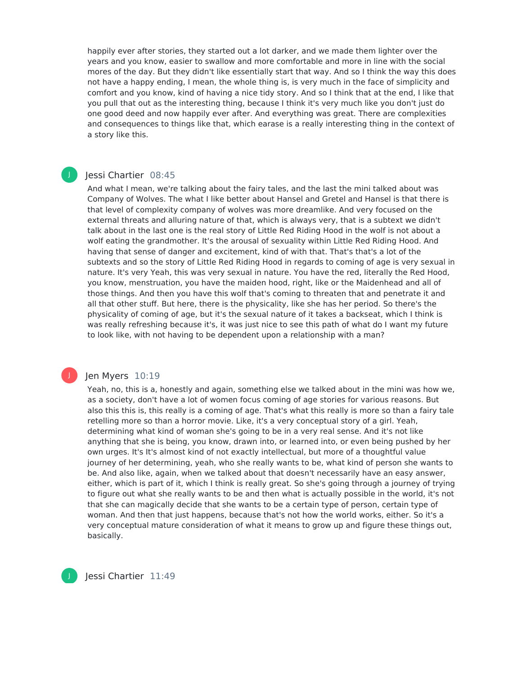happily ever after stories, they started out a lot darker, and we made them lighter over the years and you know, easier to swallow and more comfortable and more in line with the social mores of the day. But they didn't like essentially start that way. And so I think the way this does not have a happy ending, I mean, the whole thing is, is very much in the face of simplicity and comfort and you know, kind of having a nice tidy story. And so I think that at the end, I like that you pull that out as the interesting thing, because I think it's very much like you don't just do one good deed and now happily ever after. And everything was great. There are complexities and consequences to things like that, which earase is a really interesting thing in the context of a story like this.

#### Jessi Chartier 08:45 J

And what I mean, we're talking about the fairy tales, and the last the mini talked about was Company of Wolves. The what I like better about Hansel and Gretel and Hansel is that there is that level of complexity company of wolves was more dreamlike. And very focused on the external threats and alluring nature of that, which is always very, that is a subtext we didn't talk about in the last one is the real story of Little Red Riding Hood in the wolf is not about a wolf eating the grandmother. It's the arousal of sexuality within Little Red Riding Hood. And having that sense of danger and excitement, kind of with that. That's that's a lot of the subtexts and so the story of Little Red Riding Hood in regards to coming of age is very sexual in nature. It's very Yeah, this was very sexual in nature. You have the red, literally the Red Hood, you know, menstruation, you have the maiden hood, right, like or the Maidenhead and all of those things. And then you have this wolf that's coming to threaten that and penetrate it and all that other stuff. But here, there is the physicality, like she has her period. So there's the physicality of coming of age, but it's the sexual nature of it takes a backseat, which I think is was really refreshing because it's, it was just nice to see this path of what do I want my future to look like, with not having to be dependent upon a relationship with a man?

#### Jen Myers 10:19

Yeah, no, this is a, honestly and again, something else we talked about in the mini was how we, as a society, don't have a lot of women focus coming of age stories for various reasons. But also this this is, this really is a coming of age. That's what this really is more so than a fairy tale retelling more so than a horror movie. Like, it's a very conceptual story of a girl. Yeah, determining what kind of woman she's going to be in a very real sense. And it's not like anything that she is being, you know, drawn into, or learned into, or even being pushed by her own urges. It's It's almost kind of not exactly intellectual, but more of a thoughtful value journey of her determining, yeah, who she really wants to be, what kind of person she wants to be. And also like, again, when we talked about that doesn't necessarily have an easy answer, either, which is part of it, which I think is really great. So she's going through a journey of trying to figure out what she really wants to be and then what is actually possible in the world, it's not that she can magically decide that she wants to be a certain type of person, certain type of woman. And then that just happens, because that's not how the world works, either. So it's a very conceptual mature consideration of what it means to grow up and figure these things out, basically.



J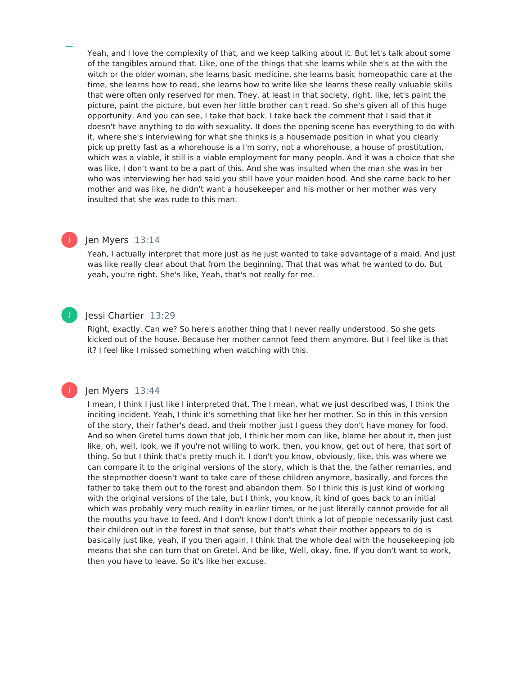Yeah, and I love the complexity of that, and we keep talking about it. But let's talk about some of the tangibles around that. Like, one of the things that she learns while she's at the with the witch or the older woman, she learns basic medicine, she learns basic homeopathic care at the time, she learns how to read, she learns how to write like she learns these really valuable skills that were often only reserved for men. They, at least in that society, right, like, let's paint the picture, paint the picture, but even her little brother can't read. So she's given all of this huge opportunity. And you can see, I take that back. I take back the comment that I said that it doesn't have anything to do with sexuality. It does the opening scene has everything to do with it, where she's interviewing for what she thinks is a housemade position in what you clearly pick up pretty fast as a whorehouse is a I'm sorry, not a whorehouse, a house of prostitution, which was a viable, it still is a viable employment for many people. And it was a choice that she was like, I don't want to be a part of this. And she was insulted when the man she was in her who was interviewing her had said you still have your maiden hood. And she came back to her mother and was like, he didn't want a housekeeper and his mother or her mother was very insulted that she was rude to this man.

#### Jen Myers 13:14

Yeah, I actually interpret that more just as he just wanted to take advantage of a maid. And just was like really clear about that from the beginning. That that was what he wanted to do. But yeah, you're right. She's like, Yeah, that's not really for me.

## J

J

#### Iessi Chartier 13:29

Right, exactly. Can we? So here's another thing that I never really understood. So she gets kicked out of the house. Because her mother cannot feed them anymore. But I feel like is that it? I feel like I missed something when watching with this.

#### Jen Myers 13:44

I mean, I think I just like I interpreted that. The I mean, what we just described was, I think the inciting incident. Yeah, I think it's something that like her her mother. So in this in this version of the story, their father's dead, and their mother just I guess they don't have money for food. And so when Gretel turns down that job, I think her mom can like, blame her about it, then just like, oh, well, look, we if you're not willing to work, then, you know, get out of here, that sort of thing. So but I think that's pretty much it. I don't you know, obviously, like, this was where we can compare it to the original versions of the story, which is that the, the father remarries, and the stepmother doesn't want to take care of these children anymore, basically, and forces the father to take them out to the forest and abandon them. So I think this is just kind of working with the original versions of the tale, but I think, you know, it kind of goes back to an initial which was probably very much reality in earlier times, or he just literally cannot provide for all the mouths you have to feed. And I don't know I don't think a lot of people necessarily just cast their children out in the forest in that sense, but that's what their mother appears to do is basically just like, yeah, if you then again, I think that the whole deal with the housekeeping job means that she can turn that on Gretel. And be like, Well, okay, fine. If you don't want to work, then you have to leave. So it's like her excuse.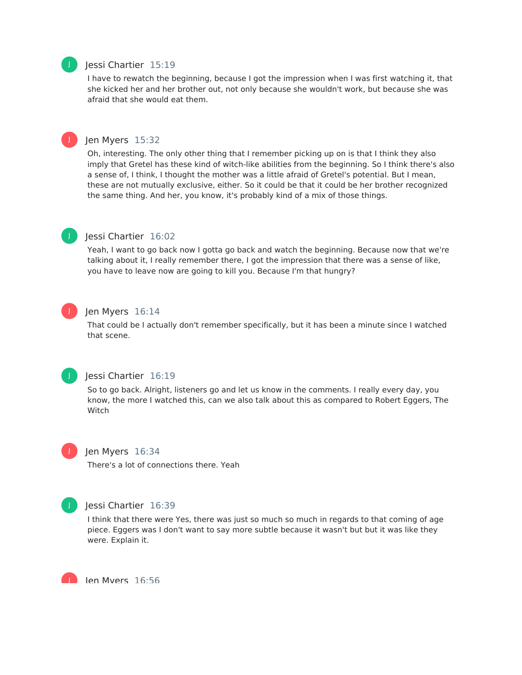### Jessi Chartier 15:19

I have to rewatch the beginning, because I got the impression when I was first watching it, that she kicked her and her brother out, not only because she wouldn't work, but because she was afraid that she would eat them.



J

#### Jen Myers 15:32

Oh, interesting. The only other thing that I remember picking up on is that I think they also imply that Gretel has these kind of witch-like abilities from the beginning. So I think there's also a sense of, I think, I thought the mother was a little afraid of Gretel's potential. But I mean, these are not mutually exclusive, either. So it could be that it could be her brother recognized the same thing. And her, you know, it's probably kind of a mix of those things.



#### Jessi Chartier 16:02

Yeah, I want to go back now Igotta go back and watch the beginning. Because now that we're talking about it, I really remember there, I got the impression that there was a sense of like, you have to leave now are going to kill you. Because I'm that hungry?

## J

#### Jen Myers 16:14

That could be I actually don't remember specifically, but it has been a minute since I watched that scene.



## Jessi Chartier 16:19

So to go back. Alright, listeners go and let us know in the comments. I really every day, you know, the more I watched this, can we also talk about this as compared to Robert Eggers, The Witch



#### Jen Myers 16:34

There's a lot of connections there. Yeah



#### Jessi Chartier 16:39

I think that there were Yes, there was just so much so much in regards to that coming of age piece. Eggers was I don't want to say more subtle because it wasn't but but it was like they were. Explain it.

Jen Myers 16:56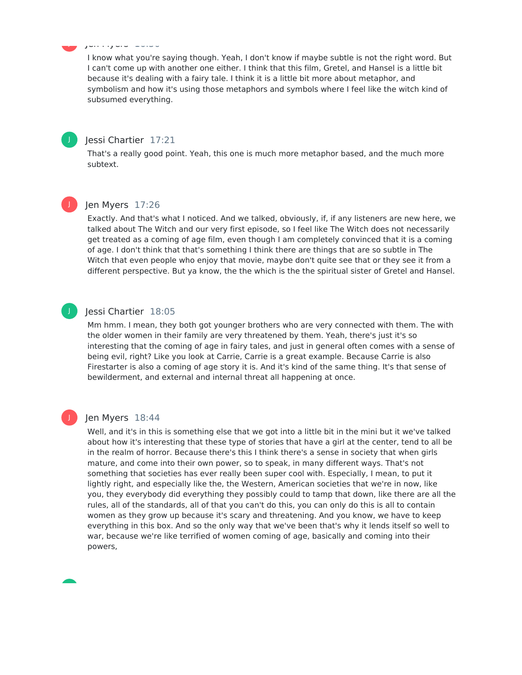#### Jen Myers 16:56 J

I know what you're saying though. Yeah, I don't know if maybe subtle is not the right word. But I can't come up with another one either. I think that this film, Gretel, and Hansel is a little bit because it's dealing with a fairy tale. I think it is a little bit more about metaphor, and symbolism and how it's using those metaphors and symbols where I feel like the witch kind of subsumed everything.



#### Jessi Chartier 17:21

That's a really good point. Yeah, this one is much more metaphor based, and the much more subtext.



J

#### Jen Myers 17:26

Exactly. And that's what I noticed. And we talked, obviously, if, if any listeners are new here, we talked about The Witch and our very first episode, so I feel like The Witch does not necessarily get treated as a coming of age film, even though I am completely convinced that it is a coming of age. I don't think that that's something I think there are things that are so subtle in The Witch that even people who enjoy that movie, maybe don't quite see that or they see it from a different perspective. But ya know, the the which is the the spiritual sister of Gretel and Hansel.

#### Jessi Chartier 18:05

Mm hmm. I mean, they both got younger brothers who are very connected with them. The with the older women in their family are very threatened by them. Yeah, there's just it's so interesting that the coming of age in fairy tales, and just in general often comes with a sense of being evil, right? Like you look at Carrie, Carrie is a great example. Because Carrie is also Firestarter is also a coming of age story it is. And it's kind of the same thing. It's that sense of bewilderment, and external and internal threat all happening at once.

#### Jen Myers 18:44

Well, and it's in this is something else that we got into a little bit in the mini but it we've talked about how it's interesting that these type of stories that have a girl at the center, tend to all be in the realm of horror. Because there's this I think there's a sense in society that when girls mature, and come into their own power, so to speak, in many different ways. That's not something that societies has ever really been super cool with. Especially, I mean, to put it lightly right, and especially like the, the Western, American societies that we're in now, like you, they everybody did everything they possibly could to tamp that down, like there are all the rules, all of the standards, all of that you can't do this, you can only do this is all to contain women as they grow up because it's scary and threatening. And you know, we have to keep everything in this box. And so the only way that we've been that's why it lends itself so well to war, because we're like terrified of women coming of age, basically and coming into their powers,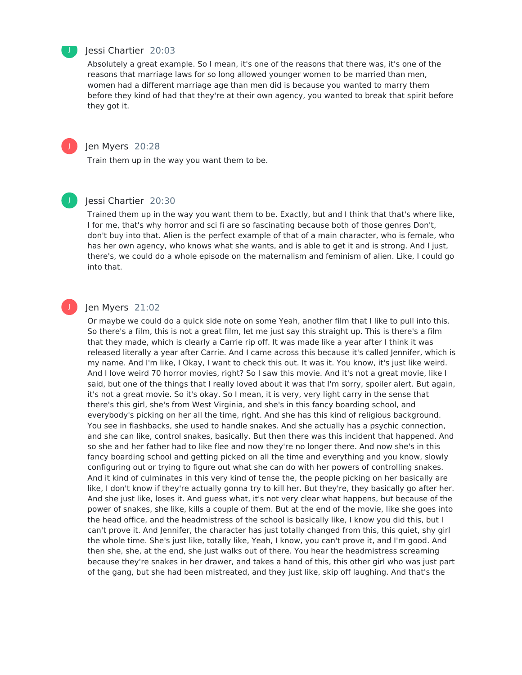

#### Jessi Chartier 20:03

Absolutely a great example. So I mean, it's one of the reasons that there was, it's one of the reasons that marriage laws for so long allowed younger women to be married than men, women had a different marriage age than men did is because you wanted to marry them before they kind of had that they're at their own agency, you wanted to break that spirit before they got it.



#### Jen Myers 20:28

Train them up in the way you want them to be.

## J

#### Jessi Chartier 20:30

Trained them up in the way you want them to be. Exactly, but and I think that that's where like, I for me, that's why horror and sci fi are so fascinating because both of those genres Don't, don't buy into that. Alien is the perfect example of that of a main character, who is female, who has her own agency, who knows what she wants, and is able to get it and is strong. And I just, there's, we could do a whole episode on the maternalism and feminism of alien. Like, I could go into that.

#### Jen Myers 21:02

Or maybe we could do a quick side note on some Yeah, another film that I like to pull into this. So there's a film, this is not a great film, let me just say this straight up. This is there's a film that they made, which is clearly a Carrie rip off. It was made like a year after I think it was released literally a year after Carrie. And I came across this because it's called Jennifer, which is my name. And I'm like, I Okay, I want to check this out. It was it. You know, it's just like weird. And I love weird 70 horror movies, right? So I saw this movie. And it's not a great movie, like I said, but one of the things that I really loved about it was that I'm sorry, spoiler alert. But again, it's not a great movie. So it's okay. So I mean, it is very, very light carry in the sense that there's this girl, she's from West Virginia, and she's in this fancy boarding school, and everybody's picking on her all the time, right. And she has this kind of religious background. You see in flashbacks, she used to handle snakes. And she actually has a psychic connection, and she can like, control snakes, basically. But then there was this incident that happened. And so she and her father had to like flee and now they're no longer there. And now she's in this fancy boarding school and getting picked on all the time and everything and you know, slowly configuring out or trying to figure out what she can do with her powers of controlling snakes. And it kind of culminates in this very kind of tense the, the people picking on her basically are like, I don't know if they're actually gonna try to kill her. But they're, they basically go after her. And she just like, loses it. And guess what, it's not very clear what happens, but because of the power of snakes, she like, kills a couple of them. But at the end of the movie, like she goes into the head office, and the headmistress of the school is basically like, I know you did this, but I can't prove it. And Jennifer, the character has just totally changed from this, this quiet, shy girl the whole time. She's just like, totally like, Yeah, I know, you can't prove it, and I'm good. And then she, she, at the end, she just walks out of there. You hear the headmistress screaming because they're snakes in her drawer, and takes a hand of this, this other girl who was just part of the gang, but she had been mistreated, and they just like, skip off laughing. And that's the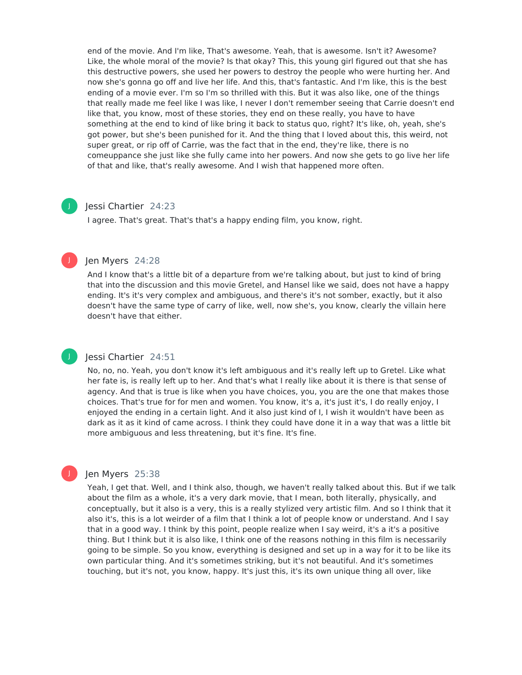end of the movie. And I'm like, That's awesome. Yeah, that is awesome. Isn't it? Awesome? Like, the whole moral of the movie? Is that okay? This, this young girl figured out that she has this destructive powers, she used her powers to destroy the people who were hurting her. And now she's gonna go off and live her life. And this, that's fantastic. And I'm like, this is the best ending of a movie ever. I'm so I'm so thrilled with this. But it was also like, one of the things that really made me feel like I was like, I never I don't remember seeing that Carrie doesn't end like that, you know, most of these stories, they end on these really, you have to have something at the end to kind of like bring it back to status quo, right? It's like, oh, yeah, she's got power, but she's been punished for it. And the thing that I loved about this, this weird, not super great, or rip off of Carrie, was the fact that in the end, they're like, there is no comeuppance she just like she fully came into her powers. And now she gets to go live her life of that and like, that's really awesome. And I wish that happened more often.

#### Jessi Chartier 24:23

J

J

J

I agree. That's great. That's that's a happy ending film, you know, right.

#### Jen Myers 24:28

And I know that's a little bit of a departure from we're talking about, but just to kind of bring that into the discussion and this movie Gretel, and Hansel like we said, does not have a happy ending. It's it's very complex and ambiguous, and there's it's not somber, exactly, but it also doesn't have the same type of carry of like, well, now she's, you know, clearly the villain here doesn't have that either.

### Jessi Chartier 24:51

No, no, no. Yeah, you don't know it's left ambiguous and it's really left up to Gretel. Like what her fate is, is really left up to her. And that's what I really like about it is there is that sense of agency. And that is true is like when you have choices, you, you are the one that makes those choices. That's true for for men and women. You know, it's a, it's just it's, I do really enjoy, I enjoyed the ending in a certain light. And it also just kind of I, I wish it wouldn't have been as dark as it as it kind of came across. I think they could have done it in a way that was a little bit more ambiguous and less threatening, but it's fine. It's fine.

#### Jen Myers 25:38

Yeah, I get that. Well, and I think also, though, we haven't really talked about this. But if we talk about the film as a whole, it's a very dark movie, that I mean, both literally, physically, and conceptually, but it also is a very, this is a really stylized very artistic film. And so I think that it also it's, this is a lot weirder of a film that I think a lot of people know or understand. And I say that in a good way. I think by this point, people realize when I say weird, it's a it's a positive thing. But I think but it is also like, I think one of the reasons nothing in this film is necessarily going to be simple. So you know, everything is designed and set up in a way for it to be like its own particular thing. And it's sometimes striking, but it's not beautiful. And it's sometimes touching, but it's not, you know, happy. It's just this, it's its own unique thing all over, like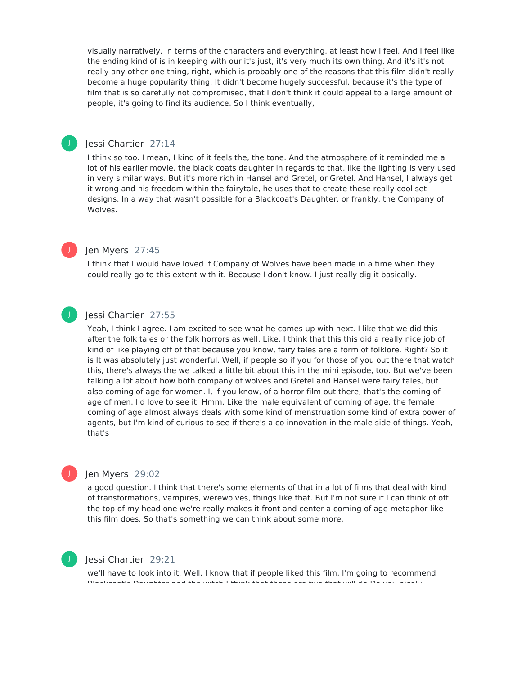visually narratively, in terms of the characters and everything, at least how Ifeel. And I feel like the ending kind of is in keeping with our it's just, it's very much its own thing. And it's it's not really any other one thing, right, which is probably one of the reasons that this film didn't really become a huge popularity thing. It didn't become hugely successful, because it's the type of film that is so carefully not compromised, that I don't think it could appeal to a large amount of people, it's going to find its audience. So I think eventually,

#### Jessi Chartier 27:14

I think so too. I mean, I kind of it feels the, the tone. And the atmosphere of it reminded me a lot of his earlier movie, the black coats daughter in regards to that, like the lighting is very used in very similar ways. But it's more rich in Hansel and Gretel, or Gretel. And Hansel, I always get it wrong and his freedom within the fairytale, he uses that to create these really cool set designs. In a way that wasn't possible for a Blackcoat's Daughter, or frankly, the Company of Wolves.

#### Jen Myers 27:45

I think that I would have loved if Company of Wolves have been made in a time when they could really go to this extent with it. Because I don't know. I just really dig it basically.

#### Jessi Chartier 27:55 J

J

J

Yeah, I think I agree. I am excited to see what he comes up with next. I like that we did this after the folk tales or the folk horrors as well. Like, I think that this this did a really nice job of kind of like playing off of that because you know, fairy tales are a form of folklore. Right? So it is It was absolutely just wonderful. Well, if people so if you for those of you out there that watch this, there's always the we talked a little bit about this in the mini episode, too. But we've been talking a lot about how both company of wolves and Gretel and Hansel were fairy tales, but also coming of age for women. I, if you know, of a horror film out there, that's the coming of age of men. I'd love to see it. Hmm. Like the male equivalent of coming of age, the female coming of age almost always deals with some kind of menstruation some kind of extra power of agents, but I'm kind of curious to see if there's a co innovation in the male side of things. Yeah, that's

## Jen Myers 29:02

a good question. I think that there's some elements of that in a lot of films that deal with kind of transformations, vampires, werewolves, things like that. But I'm not sure if I can think of off the top of my head one we're really makes it front and center a coming of age metaphor like this film does. So that's something we can think about some more,



J

## Jessi Chartier 29:21

we'll have to look into it. Well, I know that if people liked this film, I'm going to recommend Blackcoat's Daughter and the witch I think that those are two that will do Do you nicely.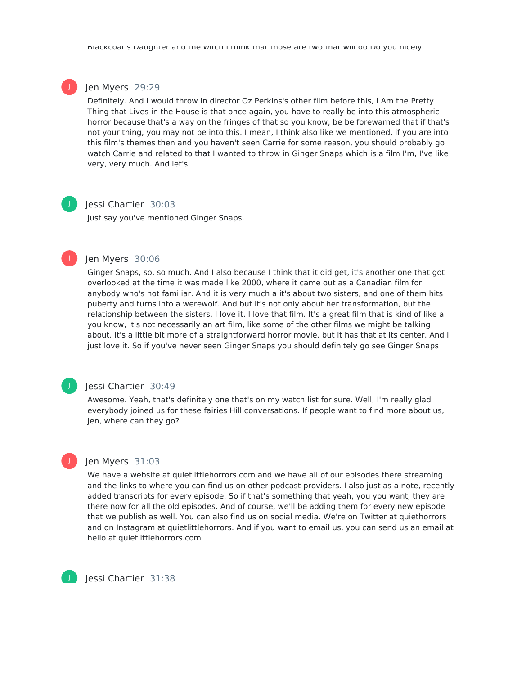#### Jen Myers 29:29

Definitely. And I would throw in director Oz Perkins's other film before this, I Am the Pretty Thing that Lives in the House is that once again, you have to really be into this atmospheric horror because that's a way on the fringes of that so you know, be be forewarned that if that's not your thing, you may not be into this. I mean, I think also like we mentioned, if you are into this film's themes then and you haven't seen Carrie for some reason, you should probably go watch Carrie and related to that I wanted to throw in Ginger Snaps which is a film I'm, I've like very, very much. And let's



J

J

#### Jessi Chartier 30:03

just say you've mentioned Ginger Snaps,

#### Jen Myers 30:06

Ginger Snaps, so, so much. And I also because I think that it did get, it's another one that got overlooked at the time it was made like 2000, where it came out as a Canadian film for anybody who's not familiar. And it is very much a it's about two sisters, and one of them hits puberty and turns into a werewolf. And but it's not only about her transformation, but the relationship between the sisters. I love it. I love that film. It's a great film that is kind of like a you know, it's not necessarily an art film, like some of the other films we might be talking about. It's a little bit more of a straightforward horror movie, but it has that at its center. And I just love it. So if you've never seen Ginger Snaps you should definitely go see Ginger Snaps

## J

J

#### Jessi Chartier 30:49

Awesome. Yeah, that's definitely one that's on my watch list for sure. Well, I'm really glad everybody joined us for these fairies Hill conversations. If people want to find more about us, Jen, where can they go?

#### Jen Myers 31:03

We have a website at quietlittlehorrors.com and we have all of our episodes there streaming and the links to where you can find us on other podcast providers. I also just as a note, recently added transcripts for every episode. So if that's something that yeah, you you want, they are there now for all the old episodes. And of course, we'll be adding them for every new episode that we publish as well. You can also find us on social media. We're on Twitter at quiethorrors and on Instagram at quietlittlehorrors. And if you want to email us, you can send us an email at hello at quietlittlehorrors.com

Jessi Chartier 31:38